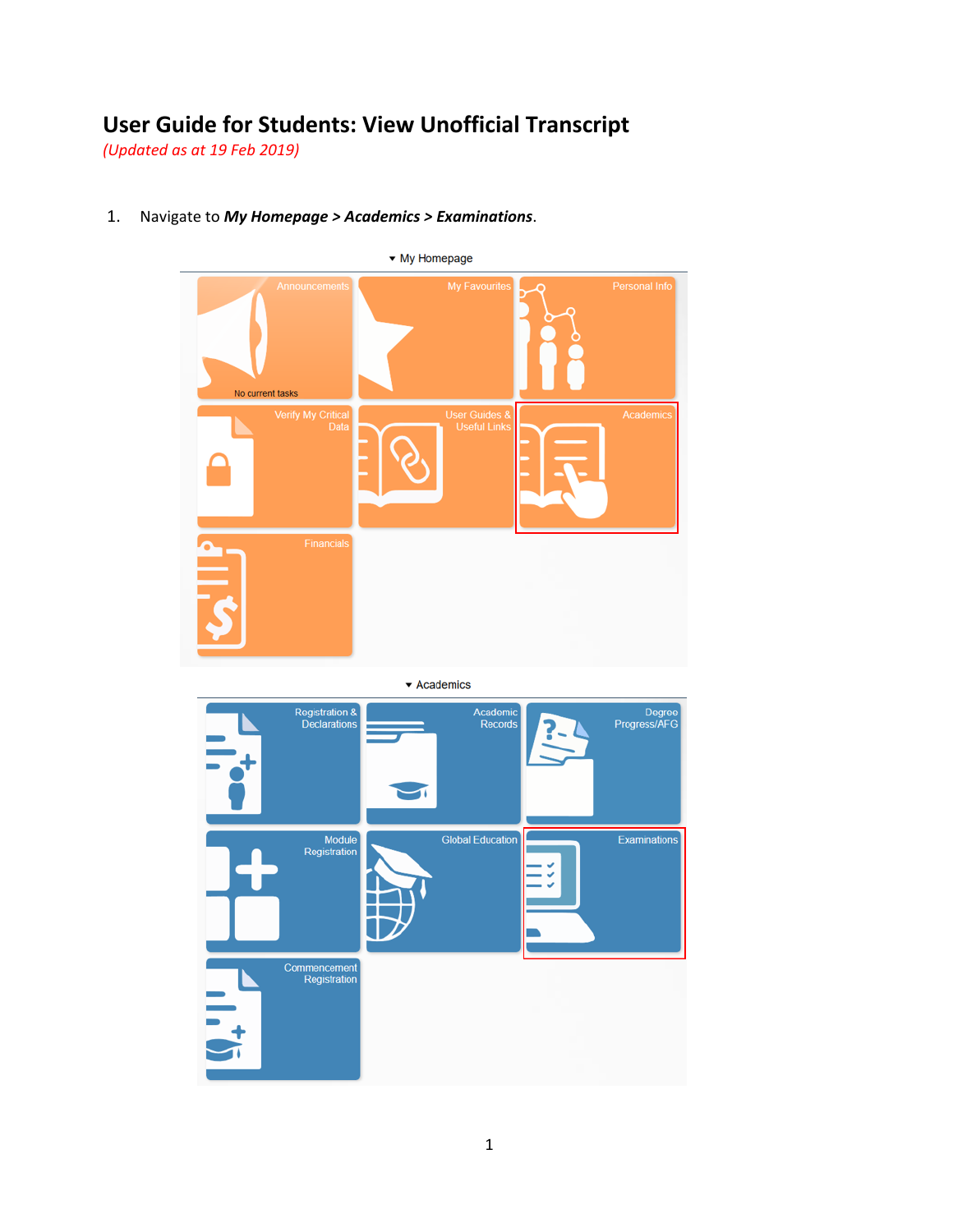## **User Guide for Students: View Unofficial Transcript**

*(Updated as at 19 Feb 2019)*



1. Navigate to *My Homepage > Academics > Examinations*.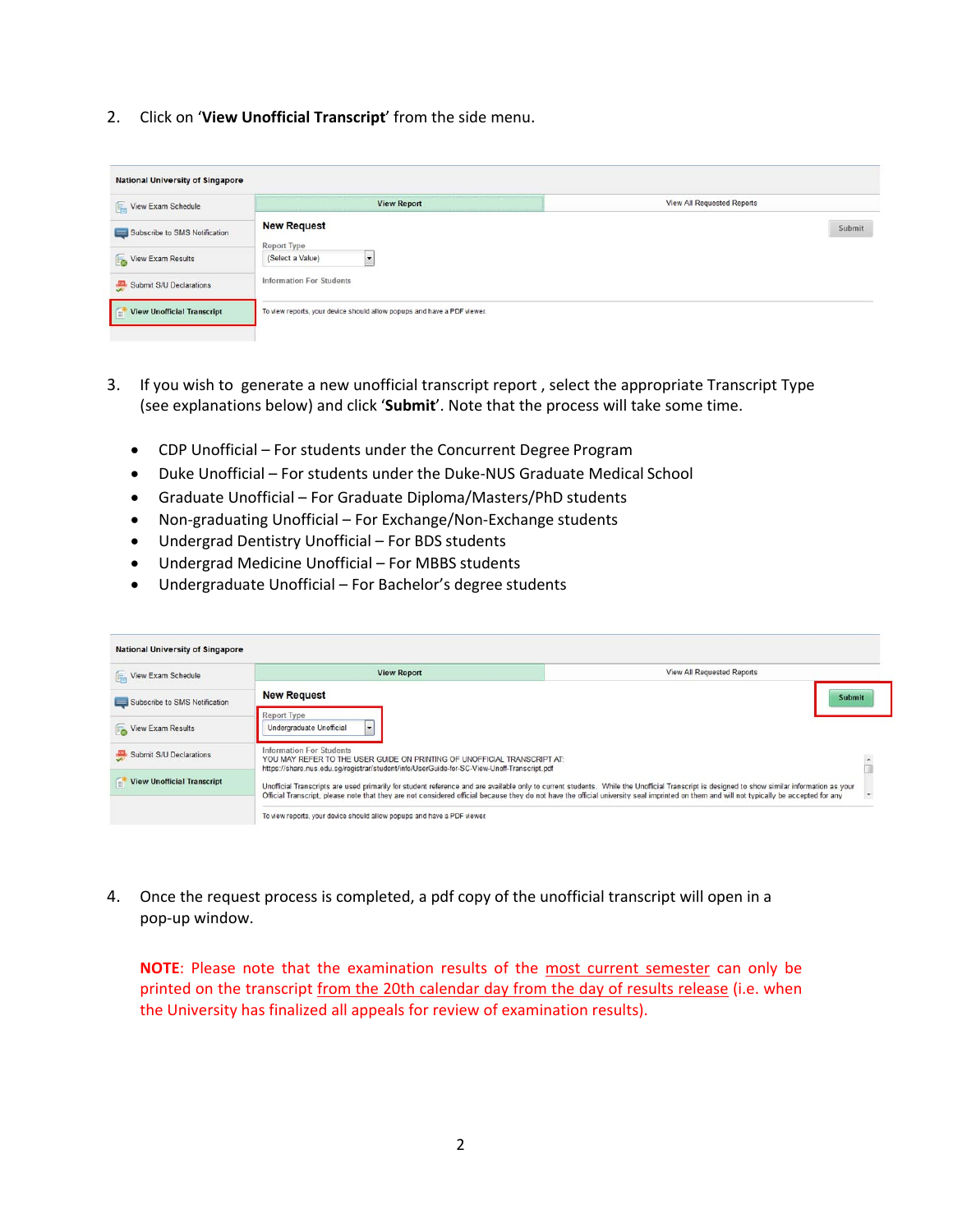2. Click on '**View Unofficial Transcript**' from the side menu.

| <b>National University of Singapore</b> |                                                                         |                                   |
|-----------------------------------------|-------------------------------------------------------------------------|-----------------------------------|
| View Exam Schedule                      | <b>View Report</b>                                                      | <b>View All Requested Reports</b> |
| Subscribe to SMS Notification           | <b>New Request</b><br>Report Type                                       | Submit                            |
| View Exam Results                       | (Select a Value)<br>$\cdot$                                             |                                   |
| Submit S/U Declarations                 | Information For Students                                                |                                   |
| <b>View Unofficial Transcript</b>       | To view reports, your device should allow popups and have a PDF viewer. |                                   |

- 3. If you wish to generate a new unofficial transcript report , select the appropriate Transcript Type (see explanations below) and click '**Submit**'. Note that the process will take some time.
	- CDP Unofficial For students under the Concurrent Degree Program
	- Duke Unofficial For students under the Duke-NUS Graduate Medical School
	- Graduate Unofficial For Graduate Diploma/Masters/PhD students
	- Non-graduating Unofficial For Exchange/Non-Exchange students
	- Undergrad Dentistry Unofficial For BDS students
	- Undergrad Medicine Unofficial For MBBS students
	- Undergraduate Unofficial For Bachelor's degree students

| <b>National University of Singapore</b> |                                                                                                                                                                                                           |                                                                                                                                                                                                                                                                                                                                                                                          |
|-----------------------------------------|-----------------------------------------------------------------------------------------------------------------------------------------------------------------------------------------------------------|------------------------------------------------------------------------------------------------------------------------------------------------------------------------------------------------------------------------------------------------------------------------------------------------------------------------------------------------------------------------------------------|
| View Exam Schedule                      | <b>View Report</b>                                                                                                                                                                                        | <b>View All Requested Reports</b>                                                                                                                                                                                                                                                                                                                                                        |
| Subscribe to SMS Notification           | <b>New Request</b>                                                                                                                                                                                        | <b>Submit</b>                                                                                                                                                                                                                                                                                                                                                                            |
| View Exam Results                       | Report Type<br>Undergraduate Unofficial                                                                                                                                                                   |                                                                                                                                                                                                                                                                                                                                                                                          |
| Submit S/U Declarations                 | <b>Information For Students</b><br>YOU MAY REFER TO THE USER GUIDE ON PRINTING OF UNOFFICIAL TRANSCRIPT AT:<br>https://share.nus.edu.sg/registrar/student/info/UserGuide-for-SC-View-Unoff-Transcript.pdf |                                                                                                                                                                                                                                                                                                                                                                                          |
| <b>View Unofficial Transcript</b>       |                                                                                                                                                                                                           | Unofficial Transcripts are used primarily for student reference and are available only to current students. While the Unofficial Transcript is designed to show similar information as your<br>Official Transcript, please note that they are not considered official because they do not have the official university seal imprinted on them and will not typically be accepted for any |
|                                         | To view reports, your device should allow popups and have a PDF viewer.                                                                                                                                   |                                                                                                                                                                                                                                                                                                                                                                                          |

4. Once the request process is completed, a pdf copy of the unofficial transcript will open in a pop‐up window.

**NOTE:** Please note that the examination results of the most current semester can only be printed on the transcript from the 20th calendar day from the day of results release (i.e. when the University has finalized all appeals for review of examination results).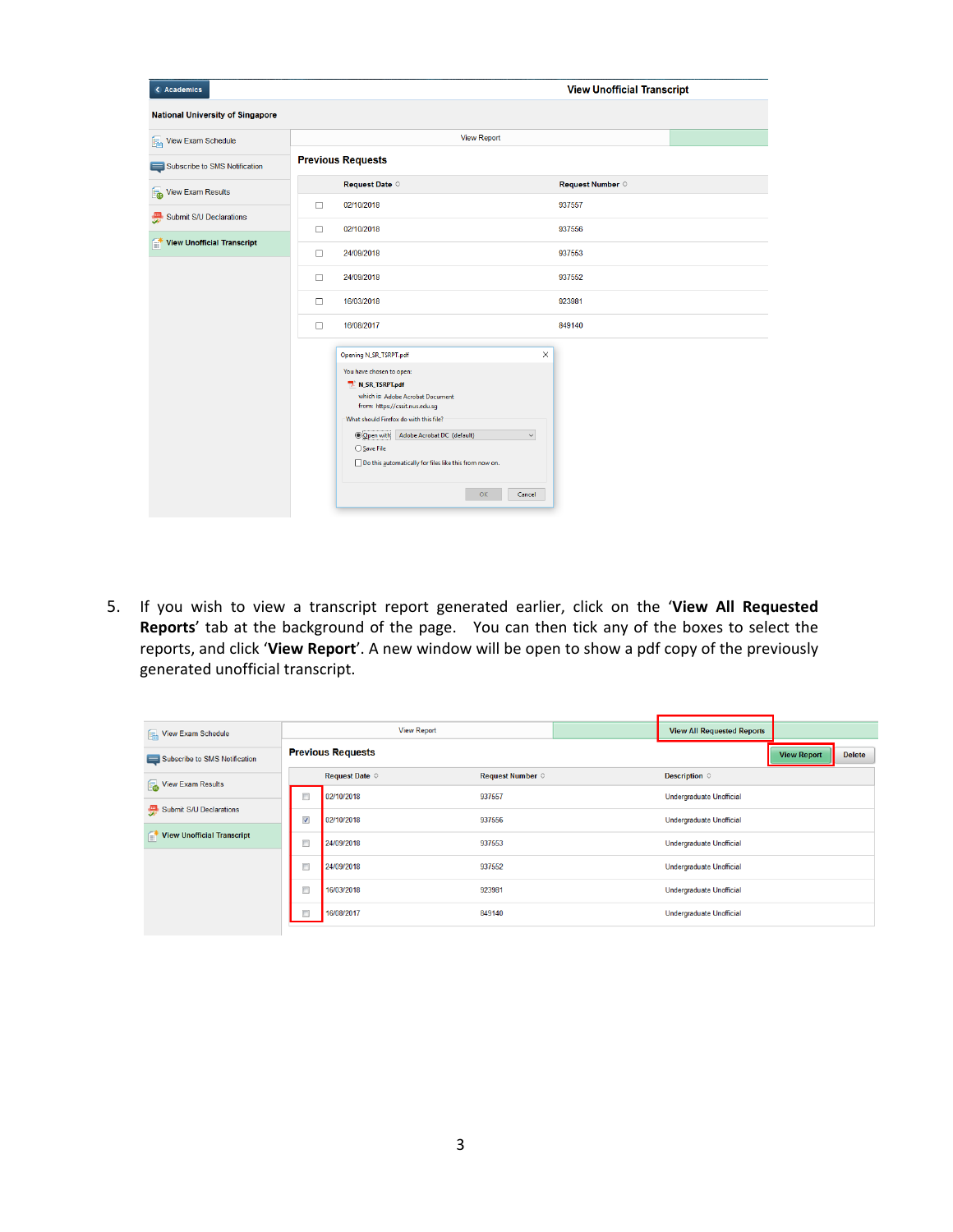| < Academics                             |                          | <b>View Unofficial Transcript</b>                                                                                                                                                                                                                                                                                                                    |                           |  |  |  |  |
|-----------------------------------------|--------------------------|------------------------------------------------------------------------------------------------------------------------------------------------------------------------------------------------------------------------------------------------------------------------------------------------------------------------------------------------------|---------------------------|--|--|--|--|
| <b>National University of Singapore</b> |                          |                                                                                                                                                                                                                                                                                                                                                      |                           |  |  |  |  |
| View Exam Schedule<br>偏                 |                          | <b>View Report</b>                                                                                                                                                                                                                                                                                                                                   |                           |  |  |  |  |
| Subscribe to SMS Notification           | <b>Previous Requests</b> |                                                                                                                                                                                                                                                                                                                                                      |                           |  |  |  |  |
| <b>View Exam Results</b><br>l.          |                          | Request Date $\diamond$                                                                                                                                                                                                                                                                                                                              | Request Number $\diamond$ |  |  |  |  |
| Submit S/U Declarations                 | □                        | 02/10/2018                                                                                                                                                                                                                                                                                                                                           | 937557                    |  |  |  |  |
| 룼                                       | □                        | 02/10/2018                                                                                                                                                                                                                                                                                                                                           | 937556                    |  |  |  |  |
| $\mathbf{r}$ View Unofficial Transcript | □                        | 24/09/2018                                                                                                                                                                                                                                                                                                                                           | 937553                    |  |  |  |  |
|                                         | $\Box$                   | 24/09/2018                                                                                                                                                                                                                                                                                                                                           | 937552                    |  |  |  |  |
|                                         | $\Box$                   | 16/03/2018                                                                                                                                                                                                                                                                                                                                           | 923981                    |  |  |  |  |
|                                         | $\Box$                   | 16/08/2017                                                                                                                                                                                                                                                                                                                                           | 849140                    |  |  |  |  |
|                                         |                          | $\times$<br>Opening N_SR_TSRPT.pdf<br>You have chosen to open:<br>N_SR_TSRPT.pdf<br>which is: Adobe Acrobat Document<br>from: https://cssit.nus.edu.sq<br>What should Firefox do with this file?<br>O Open with<br>Adobe Acrobat DC (default)<br>$\backsim$<br>○ Save File<br>Do this automatically for files like this from now on.<br>OK<br>Cancel |                           |  |  |  |  |

5. If you wish to view a transcript report generated earlier, click on the '**View All Requested Reports**' tab at the background of the page. You can then tick any of the boxes to select the reports, and click '**View Report**'. A new window will be open to show a pdf copy of the previously generated unofficial transcript.

| View Exam Schedule            | <b>View Report</b>       |                         |                           | <b>View All Requested Reports</b> |                                 |               |  |
|-------------------------------|--------------------------|-------------------------|---------------------------|-----------------------------------|---------------------------------|---------------|--|
| Subscribe to SMS Notification | <b>Previous Requests</b> |                         |                           |                                   | <b>View Report</b>              | <b>Delete</b> |  |
| View Exam Results             |                          | Request Date $\diamond$ | Request Number $\diamond$ |                                   | Description $\diamond$          |               |  |
|                               | $\Box$                   | 02/10/2018              | 937557                    |                                   | <b>Undergraduate Unofficial</b> |               |  |
| Submit S/U Declarations       | $\overline{\mathbf{v}}$  | 02/10/2018              | 937556                    |                                   | Undergraduate Unofficial        |               |  |
| View Unofficial Transcript    | $\Box$                   | 24/09/2018              | 937553                    |                                   | Undergraduate Unofficial        |               |  |
|                               | $\Box$                   | 24/09/2018              | 937552                    |                                   | Undergraduate Unofficial        |               |  |
|                               | $\Box$                   | 16/03/2018              | 923981                    |                                   | Undergraduate Unofficial        |               |  |
|                               | $\Box$                   | 16/08/2017              | 849140                    |                                   | <b>Undergraduate Unofficial</b> |               |  |